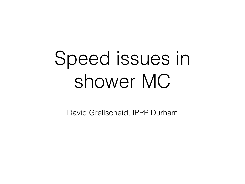## Speed issues in shower MC

David Grellscheid, IPPP Durham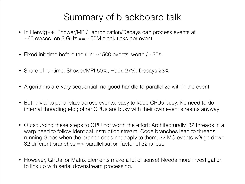## Summary of blackboard talk

- In Herwig++, Shower/MPI/Hadronization/Decays can process events at  $\sim$  60 ev/sec. on 3 GHz ==  $\sim$  50M clock ticks per event.
- Fixed init time before the run:  $\sim$  1500 events' worth /  $\sim$  30s.
- Share of runtime: Shower/MPI 50%, Hadr. 27%, Decays 23%
- Algorithms are *very* sequential, no good handle to parallelize within the event
- But: trivial to parallelize across events, easy to keep CPUs busy. No need to do internal threading etc.; other CPUs are busy with their own event streams anyway
- Outsourcing these steps to GPU not worth the effort: Architecturally, 32 threads in a warp need to follow identical instruction stream. Code branches lead to threads running 0-ops when the branch does not apply to them; 32 MC events *will* go down 32 different branches => parallelisation factor of 32 is lost.
- However, GPUs for Matrix Elements make a lot of sense! Needs more investigation to link up with serial downstream processing.